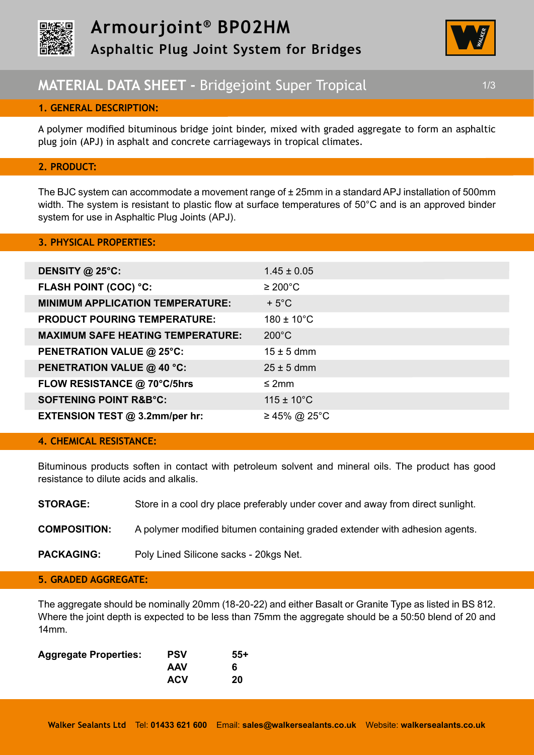



# **MATERIAL DATA SHEET - Bridgejoint Super Tropical 1/3** 1/3

# **1. GENERAL DESCRIPTION:**

A polymer modified bituminous bridge joint binder, mixed with graded aggregate to form an asphaltic plug join (APJ) in asphalt and concrete carriageways in tropical climates.

# **2. PRODUCT:**

The BJC system can accommodate a movement range of  $\pm$  25mm in a standard APJ installation of 500mm width. The system is resistant to plastic flow at surface temperatures of 50°C and is an approved binder system for use in Asphaltic Plug Joints (APJ).

#### **3. PHYSICAL PROPERTIES:**

| DENSITY @ 25°C:                          | $1.45 \pm 0.05$        |
|------------------------------------------|------------------------|
| <b>FLASH POINT (COC) °C:</b>             | $\geq 200^{\circ}$ C   |
| <b>MINIMUM APPLICATION TEMPERATURE:</b>  | $+5^{\circ}$ C         |
| <b>PRODUCT POURING TEMPERATURE:</b>      | $180 \pm 10^{\circ}$ C |
| <b>MAXIMUM SAFE HEATING TEMPERATURE:</b> | $200^{\circ}$ C        |
| PENETRATION VALUE @ 25°C:                | $15 \pm 5$ dmm         |
| <b>PENETRATION VALUE @ 40 °C:</b>        | $25 \pm 5$ dmm         |
| FLOW RESISTANCE @ 70°C/5hrs              | $\leq$ 2mm             |
| <b>SOFTENING POINT R&amp;B°C:</b>        | $115 \pm 10^{\circ}$ C |
| EXTENSION TEST @ 3.2mm/per hr:           | ≥ 45% @ 25°C           |

# **4. CHEMICAL RESISTANCE:**

Bituminous products soften in contact with petroleum solvent and mineral oils. The product has good resistance to dilute acids and alkalis.

| <b>STORAGE:</b>     | Store in a cool dry place preferably under cover and away from direct sunlight. |
|---------------------|---------------------------------------------------------------------------------|
| <b>COMPOSITION:</b> | A polymer modified bitumen containing graded extender with adhesion agents.     |
| <b>PACKAGING:</b>   | Poly Lined Silicone sacks - 20kgs Net.                                          |

# **5. GRADED AGGREGATE:**

The aggregate should be nominally 20mm (18-20-22) and either Basalt or Granite Type as listed in BS 812. Where the joint depth is expected to be less than 75mm the aggregate should be a 50:50 blend of 20 and 14mm.

| <b>PSV</b> | 55+ |
|------------|-----|
| <b>AAV</b> | 6   |
| <b>ACV</b> | 20  |
|            |     |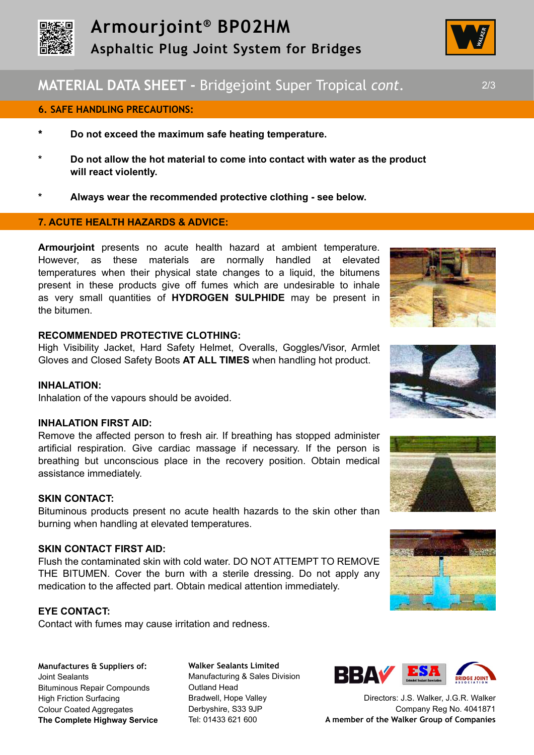

# **MATERIAL DATA SHEET -** Bridgejoint Super Tropical *cont.* 2/3

### **6. SAFE HANDLING PRECAUTIONS:**

- **\* Do not exceed the maximum safe heating temperature.**
- **\* Do not allow the hot material to come into contact with water as the product will react violently.**
- **\* Always wear the recommended protective clothing see below.**

# **7. ACUTE HEALTH HAZARDS & ADVICE:**

**Armourjoint** presents no acute health hazard at ambient temperature. However, as these materials are normally handled at elevated temperatures when their physical state changes to a liquid, the bitumens present in these products give off fumes which are undesirable to inhale as very small quantities of **HYDROGEN SULPHIDE** may be present in the bitumen.

#### **RECOMMENDED PROTECTIVE CLOTHING:**

High Visibility Jacket, Hard Safety Helmet, Overalls, Goggles/Visor, Armlet Gloves and Closed Safety Boots **AT ALL TIMES** when handling hot product.

#### **INHALATION:**

Inhalation of the vapours should be avoided.

#### **INHALATION FIRST AID:**

Remove the affected person to fresh air. If breathing has stopped administer artificial respiration. Give cardiac massage if necessary. If the person is breathing but unconscious place in the recovery position. Obtain medical assistance immediately.

#### **SKIN CONTACT:**

Bituminous products present no acute health hazards to the skin other than burning when handling at elevated temperatures.

# **SKIN CONTACT FIRST AID:**

Flush the contaminated skin with cold water. DO NOT ATTEMPT TO REMOVE THE BITUMEN. Cover the burn with a sterile dressing. Do not apply any medication to the affected part. Obtain medical attention immediately.

#### **EYE CONTACT:**

Contact with fumes may cause irritation and redness.

**Manufactures & Suppliers of:**  Joint Sealants Bituminous Repair Compounds High Friction Surfacing Colour Coated Aggregates **The Complete Highway Service**

**Walker Sealants Limited**  Manufacturing & Sales Division Outland Head Bradwell, Hope Valley Derbyshire, S33 9JP Tel: 01433 621 600











Directors: J.S. Walker, J.G.R. Walker Company Reg No. 4041871 **A member of the Walker Group of Companies**